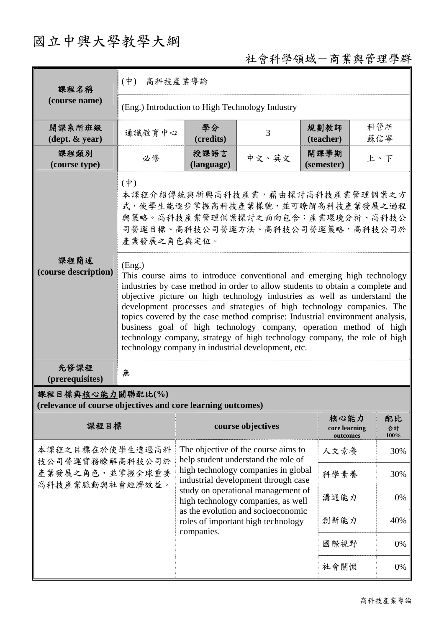## 國立中興大學教學大綱

## 社會科學領域-商業與管理學群

| 課程名稱<br>(course name)                                                           | $(\phi)$<br>高科技產業導論                                                                                                                                                                                                                                                                                                                                                                                                                                                                                                                                                                                                |                                                                                                                                                                                     |                   |                                   |      |                  |                                                                                        |
|---------------------------------------------------------------------------------|--------------------------------------------------------------------------------------------------------------------------------------------------------------------------------------------------------------------------------------------------------------------------------------------------------------------------------------------------------------------------------------------------------------------------------------------------------------------------------------------------------------------------------------------------------------------------------------------------------------------|-------------------------------------------------------------------------------------------------------------------------------------------------------------------------------------|-------------------|-----------------------------------|------|------------------|----------------------------------------------------------------------------------------|
|                                                                                 | (Eng.) Introduction to High Technology Industry                                                                                                                                                                                                                                                                                                                                                                                                                                                                                                                                                                    |                                                                                                                                                                                     |                   |                                   |      |                  |                                                                                        |
| 開課系所班級<br>$(\text{dept.} \& \text{ year})$                                      | 通識教育中心                                                                                                                                                                                                                                                                                                                                                                                                                                                                                                                                                                                                             | 學分<br>(credits)                                                                                                                                                                     | 3                 | 規劃教師<br>(teacher)                 |      | 科管所<br>蘇信寧       |                                                                                        |
| 課程類別<br>(course type)                                                           | 必修                                                                                                                                                                                                                                                                                                                                                                                                                                                                                                                                                                                                                 | 授課語言<br>(language)                                                                                                                                                                  | 中文、英文             | 開課學期<br>(semester)                |      | 上、下              |                                                                                        |
|                                                                                 | $(\dagger)$<br>本課程介紹傳統與新興高科技產業,藉由探討高科技產業管理個案之方<br>式,使學生能逐步掌握高科技產業樣貌,並可瞭解高科技產業發展之過程<br>與策略。高科技產業管理個案探討之面向包含:產業環境分析、高科技公<br>司營運目標、高科技公司營運方法、高科技公司營運策略,高科技公司於<br>產業發展之角色與定位。                                                                                                                                                                                                                                                                                                                                                                                                                                          |                                                                                                                                                                                     |                   |                                   |      |                  |                                                                                        |
| 課程簡述<br>(course description)                                                    | (Eng.)<br>This course aims to introduce conventional and emerging high technology<br>industries by case method in order to allow students to obtain a complete and<br>objective picture on high technology industries as well as understand the<br>development processes and strategies of high technology companies. The<br>topics covered by the case method comprise: Industrial environment analysis,<br>business goal of high technology company, operation method of high<br>technology company, strategy of high technology company, the role of high<br>technology company in industrial development, etc. |                                                                                                                                                                                     |                   |                                   |      |                  |                                                                                        |
| 先修課程<br>(prerequisites)                                                         | 無                                                                                                                                                                                                                                                                                                                                                                                                                                                                                                                                                                                                                  |                                                                                                                                                                                     |                   |                                   |      |                  |                                                                                        |
| 課程目標與核心能力關聯配比(%)<br>(relevance of course objectives and core learning outcomes) |                                                                                                                                                                                                                                                                                                                                                                                                                                                                                                                                                                                                                    |                                                                                                                                                                                     |                   |                                   |      |                  |                                                                                        |
| 課程目標                                                                            |                                                                                                                                                                                                                                                                                                                                                                                                                                                                                                                                                                                                                    |                                                                                                                                                                                     | course objectives | 核心能力<br>core learning<br>outcomes |      | 配比<br>合計<br>100% |                                                                                        |
| 本課程之目標在於使學生透過高科<br>技公司營運實務瞭解高科技公司於<br>產業發展之角色,並掌握全球重要<br>高科技產業脈動與社會經濟效益。        |                                                                                                                                                                                                                                                                                                                                                                                                                                                                                                                                                                                                                    | The objective of the course aims to<br>help student understand the role of                                                                                                          |                   |                                   | 人文素養 | 30%              |                                                                                        |
|                                                                                 |                                                                                                                                                                                                                                                                                                                                                                                                                                                                                                                                                                                                                    | high technology companies in global<br>科學素養<br>30%<br>industrial development through case<br>study on operational management of<br>溝通能力<br>0%<br>high technology companies, as well |                   |                                   |      |                  |                                                                                        |
|                                                                                 |                                                                                                                                                                                                                                                                                                                                                                                                                                                                                                                                                                                                                    |                                                                                                                                                                                     |                   |                                   |      |                  | as the evolution and socioeconomic<br>roles of important high technology<br>companies. |
|                                                                                 |                                                                                                                                                                                                                                                                                                                                                                                                                                                                                                                                                                                                                    | 國際視野                                                                                                                                                                                | 0%                |                                   |      |                  |                                                                                        |
|                                                                                 |                                                                                                                                                                                                                                                                                                                                                                                                                                                                                                                                                                                                                    | 社會關懷                                                                                                                                                                                | 0%                |                                   |      |                  |                                                                                        |